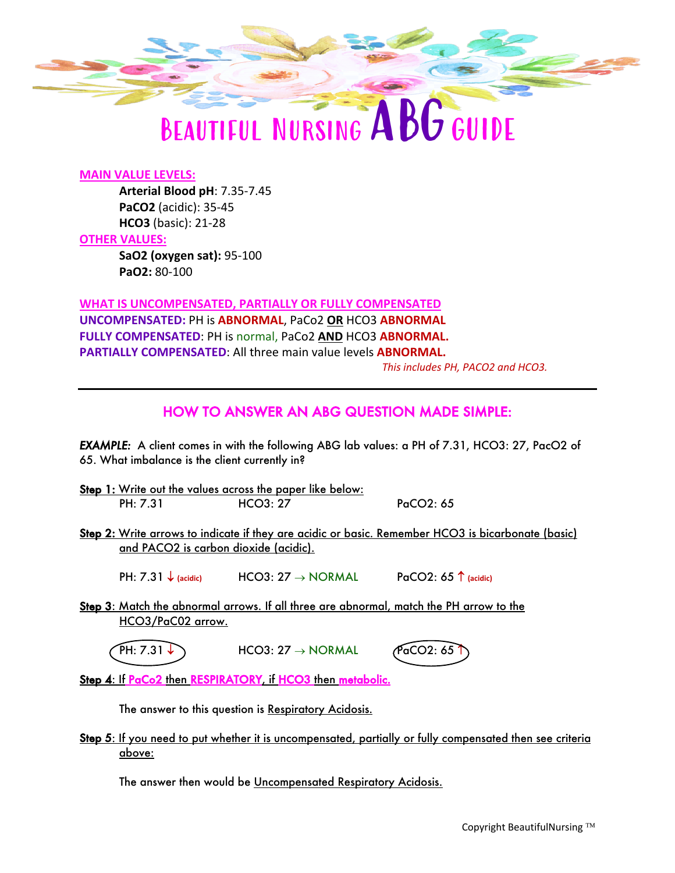

# BEAUTIFUL NURSING ABGGUIDE

### **MAIN VALUE LEVELS:**

**Arterial Blood pH**: 7.35-7.45 **PaCO2** (acidic): 35-45 **HCO3** (basic): 21-28

#### **OTHER VALUES:**

**SaO2 (oxygen sat):** 95-100 **PaO2:** 80-100

**WHAT IS UNCOMPENSATED, PARTIALLY OR FULLY COMPENSATED UNCOMPENSATED:** PH is **ABNORMAL**, PaCo2 **OR** HCO3 **ABNORMAL FULLY COMPENSATED**: PH is normal, PaCo2 **AND** HCO3 **ABNORMAL. PARTIALLY COMPENSATED**: All three main value levels **ABNORMAL.**

*This includes PH, PACO2 and HCO3.* 

## HOW TO ANSWER AN ABG QUESTION MADE SIMPLE:

*EXAMPLE:* A client comes in with the following ABG lab values: a PH of 7.31, HCO3: 27, PacO2 of 65. What imbalance is the client currently in?

- Step 1: Write out the values across the paper like below: PH: 7.31 **HCO3: 27** PaCO2: 65
- Step 2: Write arrows to indicate if they are acidic or basic. Remember HCO3 is bicarbonate (basic) and PACO2 is carbon dioxide (acidic).

PH:  $7.31 \downarrow$  (acidic)  $HCO3: 27 \rightarrow NORMAL$   $PaCO2: 65 \uparrow$  (acidic)

Step 3: Match the abnormal arrows. If all three are abnormal, match the PH arrow to the HCO3/PaC02 arrow.

 $PH: 7.31$   $\rightarrow$  HCO3: 27  $\rightarrow$  NORMAL PaCO2: 65

Step 4: If PaCo2 then RESPIRATORY, if HCO3 then metabolic.

The answer to this question is Respiratory Acidosis.

Step 5: If you need to put whether it is uncompensated, partially or fully compensated then see criteria above:

The answer then would be Uncompensated Respiratory Acidosis.